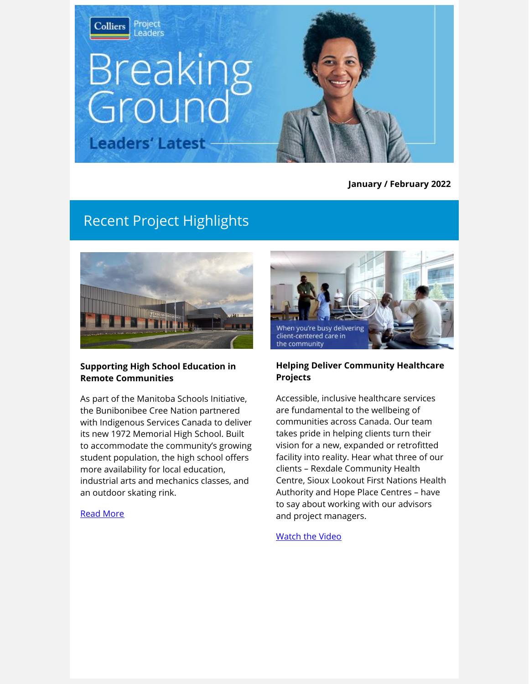

**January / February 2022**

# Recent Project Highlights



### **Supporting High School Education in Remote Communities**

As part of the Manitoba Schools Initiative, the Bunibonibee Cree Nation partnered with Indigenous Services Canada to deliver its new 1972 Memorial High School. Built to accommodate the community's growing student population, the high school offers more availability for local education, industrial arts and mechanics classes, and an outdoor skating rink.

#### [Read More](http://link.colliersprojectleaders.com/c/7/eyJhaSI6MjM3NzQzNzUsImUiOiJrYXRyaW5hLmZpbm5pZ2FuQGNvbGxpZXJzcHJvamVjdGxlYWRlcnMuY29tIiwicmkiOiJsZWFkLTlmODc1Y2QzNjdmZmVhMTFhODEyMDAwZDNhMGM4M2JmLTYwYmM0ZDQzZWRmNjRjYjdiNWQ4NDExODEwMTBmMDg3IiwicnEiOiIwMi1iMjIwMjUtZTEyY2Y4YTA1ODRkNGNiMjgwOGE5ZGE3ZTYzOGEyNGIiLCJwaCI6bnVsbCwibSI6ZmFsc2UsInVpIjoiMiIsInVuIjoiIiwidSI6Imh0dHBzOi8vd3d3LmNvbGxpZXJzcHJvamVjdGxlYWRlcnMuY29tL3Byb2plY3RzL25ldy1tZW1vcmlhbC1oaWdoLXNjaG9vbC1zdXBwb3J0cy1lZHVjYXRpb24taW4tcmVtb3RlLWNvbW11bml0eT91dG1fc291cmNlPWJyZWFraW5nZ3JvdW5kOSZ1dG1fbWVkaXVtPWVtYWlsJnV0bV9jYW1wYWlnbj1qYW4yNSZfY2xkZWU9YTJGMGNtbHVZUzVtYVc1dWFXZGhia0JqYjJ4c2FXVnljM0J5YjJwbFkzUnNaV0ZrWlhKekxtTnZiUSUzZCUzZCZyZWNpcGllbnRpZD1sZWFkLTlmODc1Y2QzNjdmZmVhMTFhODEyMDAwZDNhMGM4M2JmLTYwYmM0ZDQzZWRmNjRjYjdiNWQ4NDExODEwMTBmMDg3JmVzaWQ9OWIwMTAxMGItYjg3Ny1lYzExLTg5NDMtMDAwZDNhZmY0MmQ0In0/VzmyiQ8ToqDUb1b5NOk4dA)



### **Helping Deliver Community Healthcare Projects**

Accessible, inclusive healthcare services are fundamental to the wellbeing of communities across Canada. Our team takes pride in helping clients turn their vision for a new, expanded or retrofitted facility into reality. Hear what three of our clients – Rexdale Community Health Centre, Sioux Lookout First Nations Health Authority and Hope Place Centres – have to say about working with our advisors and project managers.

#### [Watch the Video](http://link.colliersprojectleaders.com/c/7/eyJhaSI6MjM3NzQzNzUsImUiOiJrYXRyaW5hLmZpbm5pZ2FuQGNvbGxpZXJzcHJvamVjdGxlYWRlcnMuY29tIiwicmkiOiJsZWFkLTlmODc1Y2QzNjdmZmVhMTFhODEyMDAwZDNhMGM4M2JmLTYwYmM0ZDQzZWRmNjRjYjdiNWQ4NDExODEwMTBmMDg3IiwicnEiOiIwMi1iMjIwMjUtZTEyY2Y4YTA1ODRkNGNiMjgwOGE5ZGE3ZTYzOGEyNGIiLCJwaCI6bnVsbCwibSI6ZmFsc2UsInVpIjoiNSIsInVuIjoiIiwidSI6Imh0dHBzOi8vd3d3LnlvdXR1YmUuY29tL3dhdGNoP3Y9cHM5b2J4ZU9zSU0mX2NsZGVlPWEyRjBjbWx1WVM1bWFXNXVhV2RoYmtCamIyeHNhV1Z5YzNCeWIycGxZM1JzWldGa1pYSnpMbU52YlElM2QlM2QmcmVjaXBpZW50aWQ9bGVhZC05Zjg3NWNkMzY3ZmZlYTExYTgxMjAwMGQzYTBjODNiZi02MGJjNGQ0M2VkZjY0Y2I3YjVkODQxMTgxMDEwZjA4NyZlc2lkPTliMDEwMTBiLWI4NzctZWMxMS04OTQzLTAwMGQzYWZmNDJkNCJ9/EPOLfTHSTsY2au-m0ugrmA)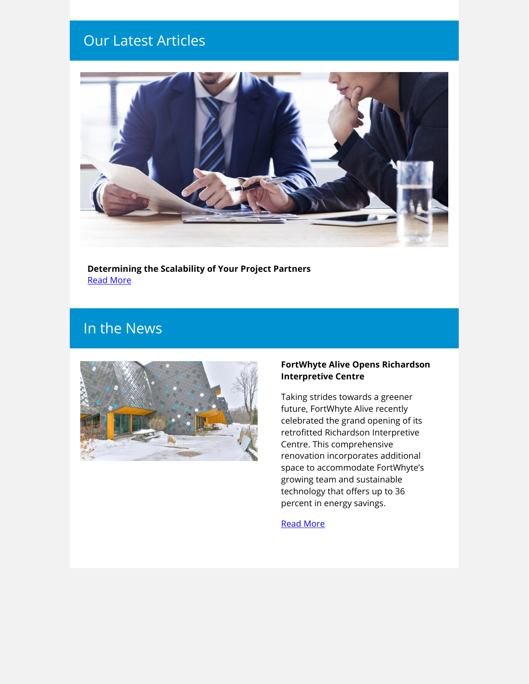# Our Latest Articles



**Determining the Scalability of Your Project Partners** [Read More](http://link.colliersprojectleaders.com/c/7/eyJhaSI6MjM3NzQzNzUsImUiOiJrYXRyaW5hLmZpbm5pZ2FuQGNvbGxpZXJzcHJvamVjdGxlYWRlcnMuY29tIiwicmkiOiJsZWFkLTlmODc1Y2QzNjdmZmVhMTFhODEyMDAwZDNhMGM4M2JmLTYwYmM0ZDQzZWRmNjRjYjdiNWQ4NDExODEwMTBmMDg3IiwicnEiOiIwMi1iMjIwMjUtZTEyY2Y4YTA1ODRkNGNiMjgwOGE5ZGE3ZTYzOGEyNGIiLCJwaCI6bnVsbCwibSI6ZmFsc2UsInVpIjoiOCIsInVuIjoiIiwidSI6Imh0dHBzOi8vd3d3LmNvbGxpZXJzcHJvamVjdGxlYWRlcnMuY29tL2luc2lnaHRzL2RldGVybWluaW5nLXRoZS1zY2FsYWJpbGl0eS1vZi15b3VyLXByb2plY3QtcGFydG5lcnMvP3V0bV9zb3VyY2U9YnJlYWtpbmdncm91bmQ5JnV0bV9tZWRpdW09ZW1haWwmdXRtX2NhbXBhaWduPWphbjI1Jl9jbGRlZT1hMkYwY21sdVlTNW1hVzV1YVdkaGJrQmpiMnhzYVdWeWMzQnliMnBsWTNSc1pXRmtaWEp6TG1OdmJRJTNkJTNkJnJlY2lwaWVudGlkPWxlYWQtOWY4NzVjZDM2N2ZmZWExMWE4MTIwMDBkM2EwYzgzYmYtNjBiYzRkNDNlZGY2NGNiN2I1ZDg0MTE4MTAxMGYwODcmZXNpZD05YjAxMDEwYi1iODc3LWVjMTEtODk0My0wMDBkM2FmZjQyZDQifQ/ryIJehtCPNCoSPXh6tOXiQ)

# In the News



#### **FortWhyte Alive Opens Richardson Interpretive Centre**

Taking strides towards a greener future, FortWhyte Alive recently celebrated the grand opening of its retrofitted Richardson Interpretive Centre. This comprehensive renovation incorporates additional space to accommodate FortWhyte's growing team and sustainable technology that offers up to 36 percent in energy savings.

[Read More](http://link.colliersprojectleaders.com/c/7/eyJhaSI6MjM3NzQzNzUsImUiOiJrYXRyaW5hLmZpbm5pZ2FuQGNvbGxpZXJzcHJvamVjdGxlYWRlcnMuY29tIiwicmkiOiJsZWFkLTlmODc1Y2QzNjdmZmVhMTFhODEyMDAwZDNhMGM4M2JmLTYwYmM0ZDQzZWRmNjRjYjdiNWQ4NDExODEwMTBmMDg3IiwicnEiOiIwMi1iMjIwMjUtZTEyY2Y4YTA1ODRkNGNiMjgwOGE5ZGE3ZTYzOGEyNGIiLCJwaCI6bnVsbCwibSI6ZmFsc2UsInVpIjoiMTEiLCJ1biI6IiIsInUiOiJodHRwczovL2dsb2JhbG5ld3MuY2EvbmV3cy84NDEwMDM3L25ldy1pbnRlcnByZXRpdmUtY2VudHJlLWZvcnR3aHl0ZS1hbGl2ZS8_X2NsZGVlPWEyRjBjbWx1WVM1bWFXNXVhV2RoYmtCamIyeHNhV1Z5YzNCeWIycGxZM1JzWldGa1pYSnpMbU52YlElM2QlM2QmcmVjaXBpZW50aWQ9bGVhZC05Zjg3NWNkMzY3ZmZlYTExYTgxMjAwMGQzYTBjODNiZi02MGJjNGQ0M2VkZjY0Y2I3YjVkODQxMTgxMDEwZjA4NyZlc2lkPTliMDEwMTBiLWI4NzctZWMxMS04OTQzLTAwMGQzYWZmNDJkNCJ9/1CCvSETH7pGZlUabP-XW2A)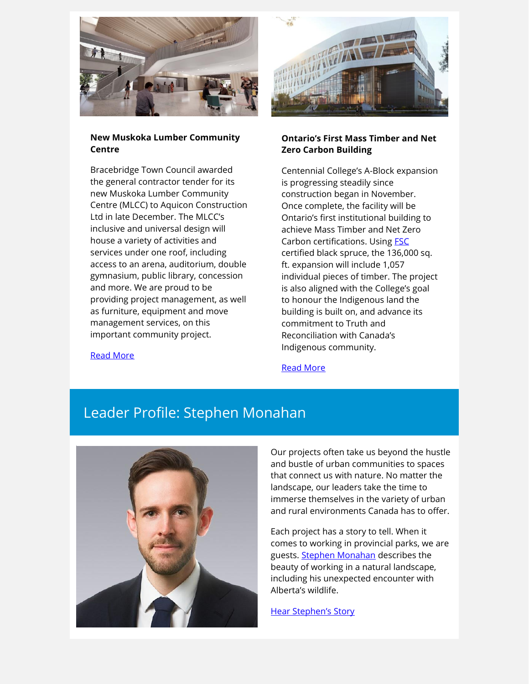

#### **New Muskoka Lumber Community Centre**

Bracebridge Town Council awarded the general contractor tender for its new Muskoka Lumber Community Centre (MLCC) to Aquicon Construction Ltd in late December. The MLCC's inclusive and universal design will house a variety of activities and services under one roof, including access to an arena, auditorium, double gymnasium, public library, concession and more. We are proud to be providing project management, as well as furniture, equipment and move management services, on this important community project.



### **Ontario's First Mass Timber and Net Zero Carbon Building**

Centennial College's A-Block expansion is progressing steadily since construction began in November. Once complete, the facility will be Ontario's first institutional building to achieve Mass Timber and Net Zero Carbon certifications. Usin[g FSC](http://link.colliersprojectleaders.com/c/7/eyJhaSI6MjM3NzQzNzUsImUiOiJrYXRyaW5hLmZpbm5pZ2FuQGNvbGxpZXJzcHJvamVjdGxlYWRlcnMuY29tIiwicmkiOiJsZWFkLTlmODc1Y2QzNjdmZmVhMTFhODEyMDAwZDNhMGM4M2JmLTYwYmM0ZDQzZWRmNjRjYjdiNWQ4NDExODEwMTBmMDg3IiwicnEiOiIwMi1iMjIwMjUtZTEyY2Y4YTA1ODRkNGNiMjgwOGE5ZGE3ZTYzOGEyNGIiLCJwaCI6bnVsbCwibSI6ZmFsc2UsInVpIjoiMTciLCJ1biI6IiIsInUiOiJodHRwczovL2ZzYy5vcmcvZW4_X2NsZGVlPWEyRjBjbWx1WVM1bWFXNXVhV2RoYmtCamIyeHNhV1Z5YzNCeWIycGxZM1JzWldGa1pYSnpMbU52YlElM2QlM2QmcmVjaXBpZW50aWQ9bGVhZC05Zjg3NWNkMzY3ZmZlYTExYTgxMjAwMGQzYTBjODNiZi02MGJjNGQ0M2VkZjY0Y2I3YjVkODQxMTgxMDEwZjA4NyZlc2lkPTliMDEwMTBiLWI4NzctZWMxMS04OTQzLTAwMGQzYWZmNDJkNCJ9/zNTuBh5uJQ-sSEsq3zmiGw) certified black spruce, the 136,000 sq. ft. expansion will include 1,057 individual pieces of timber. The project is also aligned with the College's goal to honour the Indigenous land the building is built on, and advance its commitment to Truth and Reconciliation with Canada's Indigenous community.

[Read More](http://link.colliersprojectleaders.com/c/7/eyJhaSI6MjM3NzQzNzUsImUiOiJrYXRyaW5hLmZpbm5pZ2FuQGNvbGxpZXJzcHJvamVjdGxlYWRlcnMuY29tIiwicmkiOiJsZWFkLTlmODc1Y2QzNjdmZmVhMTFhODEyMDAwZDNhMGM4M2JmLTYwYmM0ZDQzZWRmNjRjYjdiNWQ4NDExODEwMTBmMDg3IiwicnEiOiIwMi1iMjIwMjUtZTEyY2Y4YTA1ODRkNGNiMjgwOGE5ZGE3ZTYzOGEyNGIiLCJwaCI6bnVsbCwibSI6ZmFsc2UsInVpIjoiMTQiLCJ1biI6IiIsInUiOiJodHRwczovL211c2tva2E0MTEuY29tL2F3YXJkLW9mLXRlbmRlci1mb3ItdGhlLWdlbmVyYWwtY29udHJhY3Rvci1vZi10aGUtbXVza29rYS1sdW1iZXItY29tbXVuaXR5LWNlbnRyZS8_X2NsZGVlPWEyRjBjbWx1WVM1bWFXNXVhV2RoYmtCamIyeHNhV1Z5YzNCeWIycGxZM1JzWldGa1pYSnpMbU52YlElM2QlM2QmcmVjaXBpZW50aWQ9bGVhZC05Zjg3NWNkMzY3ZmZlYTExYTgxMjAwMGQzYTBjODNiZi02MGJjNGQ0M2VkZjY0Y2I3YjVkODQxMTgxMDEwZjA4NyZlc2lkPTliMDEwMTBiLWI4NzctZWMxMS04OTQzLTAwMGQzYWZmNDJkNCJ9/sAOSyikwmaYlKwXimNxFhA)

### [Read More](http://link.colliersprojectleaders.com/c/7/eyJhaSI6MjM3NzQzNzUsImUiOiJrYXRyaW5hLmZpbm5pZ2FuQGNvbGxpZXJzcHJvamVjdGxlYWRlcnMuY29tIiwicmkiOiJsZWFkLTlmODc1Y2QzNjdmZmVhMTFhODEyMDAwZDNhMGM4M2JmLTYwYmM0ZDQzZWRmNjRjYjdiNWQ4NDExODEwMTBmMDg3IiwicnEiOiIwMi1iMjIwMjUtZTEyY2Y4YTA1ODRkNGNiMjgwOGE5ZGE3ZTYzOGEyNGIiLCJwaCI6bnVsbCwibSI6ZmFsc2UsInVpIjoiMTgiLCJ1biI6IiIsInUiOiJodHRwczovL3VyYmFudG9yb250by5jYS9uZXdzLzIwMjEvMTIvZmlyc3QtbWFzcy10aW1iZXItbmV0LXplcm8tY2FyYm9uLWluc3RpdHV0aW9uYWwtYnVpbGRpbmctb250YXJpby1jb21pbmctc2NhcmJvcm91Z2g_X2NsZGVlPWEyRjBjbWx1WVM1bWFXNXVhV2RoYmtCamIyeHNhV1Z5YzNCeWIycGxZM1JzWldGa1pYSnpMbU52YlElM2QlM2QmcmVjaXBpZW50aWQ9bGVhZC05Zjg3NWNkMzY3ZmZlYTExYTgxMjAwMGQzYTBjODNiZi02MGJjNGQ0M2VkZjY0Y2I3YjVkODQxMTgxMDEwZjA4NyZlc2lkPTliMDEwMTBiLWI4NzctZWMxMS04OTQzLTAwMGQzYWZmNDJkNCJ9/5f8ESYjuSKKjcMuNSNyTug)

# Leader Profile: Stephen Monahan



Our projects often take us beyond the hustle and bustle of urban communities to spaces that connect us with nature. No matter the landscape, our leaders take the time to immerse themselves in the variety of urban and rural environments Canada has to offer.

Each project has a story to tell. When it comes to working in provincial parks, we are guests. [Stephen Monahan](http://link.colliersprojectleaders.com/c/7/eyJhaSI6MjM3NzQzNzUsImUiOiJrYXRyaW5hLmZpbm5pZ2FuQGNvbGxpZXJzcHJvamVjdGxlYWRlcnMuY29tIiwicmkiOiJsZWFkLTlmODc1Y2QzNjdmZmVhMTFhODEyMDAwZDNhMGM4M2JmLTYwYmM0ZDQzZWRmNjRjYjdiNWQ4NDExODEwMTBmMDg3IiwicnEiOiIwMi1iMjIwMjUtZTEyY2Y4YTA1ODRkNGNiMjgwOGE5ZGE3ZTYzOGEyNGIiLCJwaCI6bnVsbCwibSI6ZmFsc2UsInVpIjoiMjEiLCJ1biI6IiIsInUiOiJodHRwczovL3d3dy5saW5rZWRpbi5jb20vaW4vc3RlcGhlbm1vbmFoYW4vP19jbGRlZT1hMkYwY21sdVlTNW1hVzV1YVdkaGJrQmpiMnhzYVdWeWMzQnliMnBsWTNSc1pXRmtaWEp6TG1OdmJRJTNkJTNkJnJlY2lwaWVudGlkPWxlYWQtOWY4NzVjZDM2N2ZmZWExMWE4MTIwMDBkM2EwYzgzYmYtNjBiYzRkNDNlZGY2NGNiN2I1ZDg0MTE4MTAxMGYwODcmZXNpZD05YjAxMDEwYi1iODc3LWVjMTEtODk0My0wMDBkM2FmZjQyZDQifQ/23gOs5M7-6RPAokh_yT2lw) describes the beauty of working in a natural landscape, including his unexpected encounter with Alberta's wildlife.

[Hear Stephen's Story](http://link.colliersprojectleaders.com/c/7/eyJhaSI6MjM3NzQzNzUsImUiOiJrYXRyaW5hLmZpbm5pZ2FuQGNvbGxpZXJzcHJvamVjdGxlYWRlcnMuY29tIiwicmkiOiJsZWFkLTlmODc1Y2QzNjdmZmVhMTFhODEyMDAwZDNhMGM4M2JmLTYwYmM0ZDQzZWRmNjRjYjdiNWQ4NDExODEwMTBmMDg3IiwicnEiOiIwMi1iMjIwMjUtZTEyY2Y4YTA1ODRkNGNiMjgwOGE5ZGE3ZTYzOGEyNGIiLCJwaCI6bnVsbCwibSI6ZmFsc2UsInVpIjoiMjIiLCJ1biI6IiIsInUiOiJodHRwczovL3d3dy55b3V0dWJlLmNvbS93YXRjaD92PXAyY0tBTGhHTmhNJl9jbGRlZT1hMkYwY21sdVlTNW1hVzV1YVdkaGJrQmpiMnhzYVdWeWMzQnliMnBsWTNSc1pXRmtaWEp6TG1OdmJRJTNkJTNkJnJlY2lwaWVudGlkPWxlYWQtOWY4NzVjZDM2N2ZmZWExMWE4MTIwMDBkM2EwYzgzYmYtNjBiYzRkNDNlZGY2NGNiN2I1ZDg0MTE4MTAxMGYwODcmZXNpZD05YjAxMDEwYi1iODc3LWVjMTEtODk0My0wMDBkM2FmZjQyZDQifQ/jo16qB9jgbx5VhXgqfuSlA)